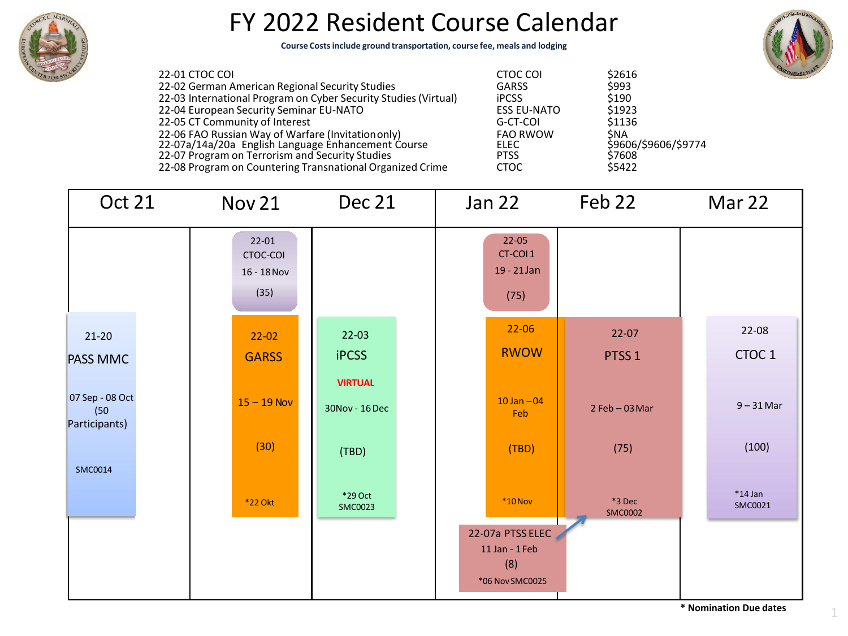

## FY 2022 Resident Course Calendar

**Course Costs include ground transportation, course fee, meals and lodging**



22-01 CTOC COI CTOC COI \$2616 22-02 German American Regional Security Studies 22-03 International Program on Cyber Security Studies (Virtual) 22-04 European Security Seminar EU-NATO 22-05 CT Community of Interest 22-06 FAO Russian Way of Warfare (Invitationonly) FAO RWOW \$NA 22-07a/14a/20a English Language Enhancement Course **ELEC** \$9606/\$9606/\$9774 22-07 Program on Terrorism and Security Studies PTSS \$7608 22-08 Program on Countering Transnational Organized Crime

| CTUC CUI           | <b>27010</b>        |
|--------------------|---------------------|
| <b>GARSS</b>       | \$993               |
| <b>iPCSS</b>       | \$190               |
| <b>ESS EU-NATO</b> | \$1923              |
| G-CT-COI           | \$1136              |
| <b>FAO RWOW</b>    | ŚNA                 |
| ELEC               | \$9606/\$9606/\$977 |
| <b>PTSS</b>        | \$7608              |
| стос               | \$5422              |
|                    |                     |

| Oct 21                                   | Nov 21                                       | Dec 21                           | Jan 22                                                       | Feb 22                   | Mar 22               |  |
|------------------------------------------|----------------------------------------------|----------------------------------|--------------------------------------------------------------|--------------------------|----------------------|--|
|                                          | $22 - 01$<br>CTOC-COI<br>16 - 18 Nov<br>(35) |                                  | $22 - 05$<br>CT-COI1<br>19 - 21 Jan<br>(75)                  |                          |                      |  |
| $21-20$                                  | $22 - 02$                                    | $22 - 03$                        | $22 - 06$                                                    | $22-07$                  | 22-08                |  |
| <b>PASS MMC</b>                          | <b>GARSS</b>                                 | <b>iPCSS</b>                     | <b>RWOW</b>                                                  | PTSS <sub>1</sub>        | CTOC <sub>1</sub>    |  |
| 07 Sep - 08 Oct<br>(50)<br>Participants) | $15 - 19$ Nov                                | <b>VIRTUAL</b><br>30Nov - 16 Dec | $10$ Jan $-04$<br>Feb                                        | $2$ Feb - 03 Mar         | $9 - 31$ Mar         |  |
|                                          | (30)                                         | (TBD)                            | (TBD)                                                        | (75)                     | (100)                |  |
| <b>SMC0014</b>                           | <b>*22 Okt</b>                               | *29 Oct<br><b>SMC0023</b>        | $*10$ Nov                                                    | *3 Dec<br><b>SMC0002</b> | $*14$ Jan<br>SMC0021 |  |
|                                          |                                              |                                  | 22-07a PTSS ELEC<br>11 Jan - 1 Feb<br>(8)<br>*06 Nov SMC0025 |                          |                      |  |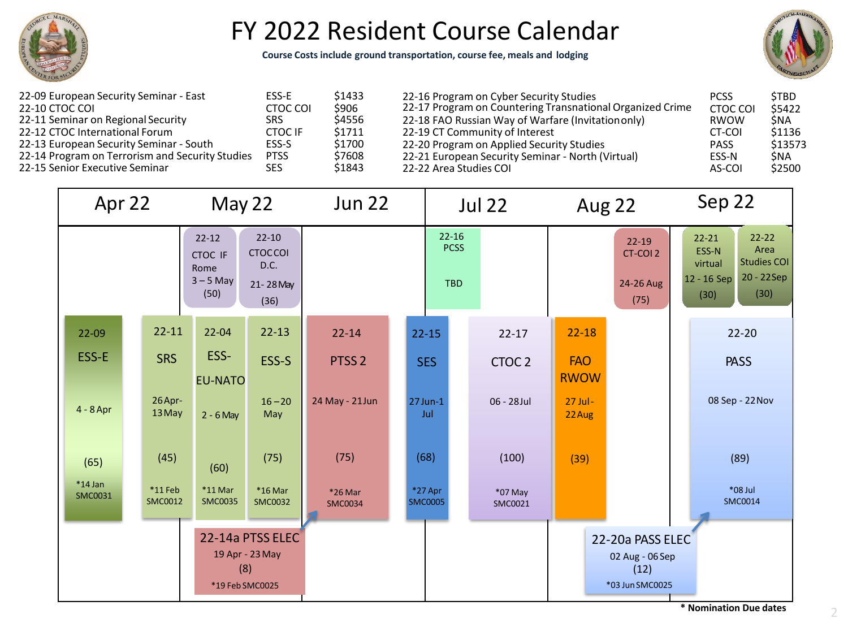

## FY 2022 Resident Course Calendar

**Course Costs include ground transportation, course fee, meals and lodging**



| 22-09 European Security Seminar - East          | ESS-E          | \$1433 |
|-------------------------------------------------|----------------|--------|
| 22-10 CTOC COI                                  | CTOC COI       | \$906  |
| 22-11 Seminar on Regional Security              | <b>SRS</b>     | \$4556 |
| 22-12 CTOC International Forum                  | <b>CTOC IF</b> | \$1711 |
| 22-13 European Security Seminar - South         | ESS-S          | \$1700 |
| 22-14 Program on Terrorism and Security Studies | <b>PTSS</b>    | \$7608 |
| 22-15 Senior Executive Seminar                  | <b>SES</b>     | \$1843 |

| 22-16 Program on Cyber Security Studies<br>22-17 Program on Countering Transnational Organized Crime | <b>PCSS</b><br><b>CTOC COI</b> | <b>STBD</b><br>\$5422 |
|------------------------------------------------------------------------------------------------------|--------------------------------|-----------------------|
| 22-18 FAO Russian Way of Warfare (Invitation only)                                                   | RWOW                           | <b>SNA</b>            |
| 22-19 CT Community of Interest                                                                       | CT-COI                         | \$1136                |
| 22-20 Program on Applied Security Studies                                                            | <b>PASS</b>                    | \$13573               |
| 22-21 European Security Seminar - North (Virtual)                                                    | ESS-N                          | <b>SNA</b>            |
| 22-22 Area Studies COI                                                                               | AS-COI                         | \$2500                |

| Apr 22                      |                                                                                                                        | May 22                      |                           | <b>Jun 22</b>                          |  | <b>Jul 22</b>               |                                            | Aug 22                    |                         | Sep 22                                                                                                                |                           |
|-----------------------------|------------------------------------------------------------------------------------------------------------------------|-----------------------------|---------------------------|----------------------------------------|--|-----------------------------|--------------------------------------------|---------------------------|-------------------------|-----------------------------------------------------------------------------------------------------------------------|---------------------------|
|                             | $22 - 10$<br>$22 - 12$<br><b>CTOCCOI</b><br><b>CTOC IF</b><br>D.C.<br>Rome<br>$3 - 5$ May<br>21-28 May<br>(50)<br>(36) |                             |                           | $22 - 16$<br><b>PCSS</b><br><b>TBD</b> |  |                             | $22 - 19$<br>CT-COI 2<br>24-26 Aug<br>(75) |                           |                         | $22 - 22$<br>$22 - 21$<br>Area<br>ESS-N<br><b>Studies COI</b><br>virtual<br>20 - 22Sep<br>12 - 16 Sep<br>(30)<br>(30) |                           |
| $22 - 09$                   | $22 - 11$                                                                                                              | $22 - 04$                   | $22 - 13$                 | $22 - 14$                              |  | $22 - 15$                   | $22 - 17$                                  | $22 - 18$                 |                         |                                                                                                                       | $22 - 20$                 |
| ESS-E                       | <b>SRS</b>                                                                                                             | ESS-<br><b>EU-NATO</b>      | ESS-S                     | PTSS <sub>2</sub>                      |  | <b>SES</b>                  | CTOC <sub>2</sub>                          | <b>FAO</b><br><b>RWOW</b> |                         |                                                                                                                       | <b>PASS</b>               |
| $4 - 8$ Apr                 | 26 Apr-<br>13 May                                                                                                      | $2 - 6$ May                 | $16 - 20$<br>May          | 24 May - 21 Jun                        |  | $27$ Jun-1<br>Jul           | 06 - 28 Jul                                | $27$ Jul -<br>22 Aug      |                         |                                                                                                                       | 08 Sep - 22 Nov           |
| (65)                        | (45)                                                                                                                   | (60)                        | (75)                      | (75)                                   |  | (68)                        | (100)                                      | (39)                      |                         |                                                                                                                       | (89)                      |
| $*14$ Jan<br><b>SMC0031</b> | $*11$ Feb<br><b>SMC0012</b>                                                                                            | $*11$ Mar<br><b>SMC0035</b> | *16 Mar<br><b>SMC0032</b> | *26 Mar<br><b>SMC0034</b>              |  | $*27$ Apr<br><b>SMC0005</b> | *07 May<br>SMC0021                         |                           |                         |                                                                                                                       | *08 Jul<br><b>SMC0014</b> |
| 22-14a PTSS ELEC            |                                                                                                                        |                             |                           |                                        |  | 22-20a PASS ELEC            |                                            |                           |                         |                                                                                                                       |                           |
|                             |                                                                                                                        |                             | 19 Apr - 23 May<br>(8)    |                                        |  |                             |                                            |                           | 02 Aug - 06 Sep<br>(12) |                                                                                                                       |                           |
|                             |                                                                                                                        |                             | *19 Feb SMC0025           |                                        |  |                             |                                            |                           | *03 Jun SMC0025         |                                                                                                                       | * Maustinetten Dura det   |